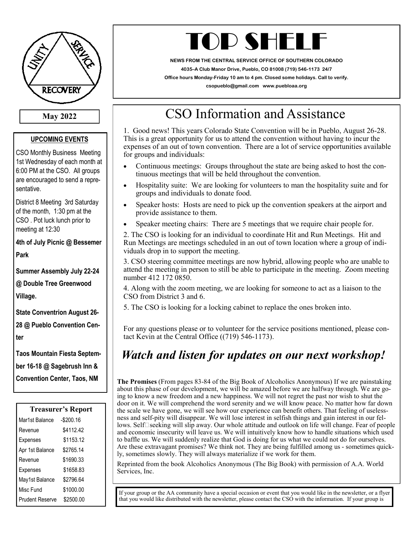

**May 2022**

### **UPCOMING EVENTS**

CSO Monthly Business Meeting 1st Wednesday of each month at 6:00 PM at the CSO. All groups are encouraged to send a representative.

District 8 Meeting 3rd Saturday of the month, 1:30 pm at the CSO . Pot luck lunch prior to meeting at 12:30

**4th of July Picnic @ Bessemer Park**

**Summer Assembly July 22-24 @ Double Tree Greenwood Village.**

**State Conventrion August 26- 28 @ Pueblo Convention Center**

**Taos Mountain Fiesta September 16-18 @ Sagebrush Inn & Convention Center, Taos, NM**

| <b>Treasurer's Report</b> |            |
|---------------------------|------------|
| Mar1st Balance            | $-$200.16$ |
| Revenue                   | \$4112.42  |
| Expenses                  | \$1153.12  |
| Apr 1st Balance           | \$2765.14  |
| Revenue                   | \$1690.33  |
| Expenses                  | \$1658.83  |
| May1st Balance            | \$2796.64  |
| Misc Fund                 | \$1000.00  |
| <b>Prudent Reserve</b>    | \$2500.00  |
|                           |            |

# TOP SHELI

**NEWS FROM THE CENTRAL SERVICE OFFICE OF SOUTHERN COLORADO 4035–A Club Manor Drive, Pueblo, CO 81008 (719) 546-1173 24/7 Office hours Monday-Friday 10 am to 4 pm. Closed some holidays. Call to verify. csopueblo@gmail.com www.puebloaa.org**

## CSO Information and Assistance

1. Good news! This years Colorado State Convention will be in Pueblo, August 26-28. This is a great opportunity for us to attend the convention without having to incur the expenses of an out of town convention. There are a lot of service opportunities available for groups and individuals:

- Continuous meetings: Groups throughout the state are being asked to host the continuous meetings that will be held throughout the convention.
- Hospitality suite: We are looking for volunteers to man the hospitality suite and for groups and individuals to donate food.
- Speaker hosts: Hosts are need to pick up the convention speakers at the airport and provide assistance to them.
- Speaker meeting chairs: There are 5 meetings that we require chair people for.

2. The CSO is looking for an individual to coordinate Hit and Run Meetings. Hit and Run Meetings are meetings scheduled in an out of town location where a group of individuals drop in to support the meeting.

3. CSO steering committee meetings are now hybrid, allowing people who are unable to attend the meeting in person to still be able to participate in the meeting. Zoom meeting number 412 172 0850.

4. Along with the zoom meeting, we are looking for someone to act as a liaison to the CSO from District 3 and 6.

5. The CSO is looking for a locking cabinet to replace the ones broken into.

For any questions please or to volunteer for the service positions mentioned, please contact Kevin at the Central Office ((719) 546-1173).

### *Watch and listen for updates on our next workshop!*

**The Promises** (From pages 83-84 of the Big Book of Alcoholics Anonymous) If we are painstaking about this phase of our development, we will be amazed before we are halfway through. We are going to know a new freedom and a new happiness. We will not regret the past nor wish to shut the door on it. We will comprehend the word serenity and we will know peace. No matter how far down the scale we have gone, we will see how our experience can benefit others. That feeling of uselessness and self-pity will disappear. We will lose interest in selfish things and gain interest in our fellows. Self $\square$ seeking will slip away. Our whole attitude and outlook on life will change. Fear of people and economic insecurity will leave us. We will intuitively know how to handle situations which used to baffle us. We will suddenly realize that God is doing for us what we could not do for ourselves. Are these extravagant promises? We think not. They are being fulfilled among us - sometimes quickly, sometimes slowly. They will always materialize if we work for them.

Reprinted from the book Alcoholics Anonymous (The Big Book) with permission of A.A. World Services, Inc.

If your group or the AA community have a special occasion or event that you would like in the newsletter, or a flyer that you would like distributed with the newsletter, please contact the CSO with the information. If your group is